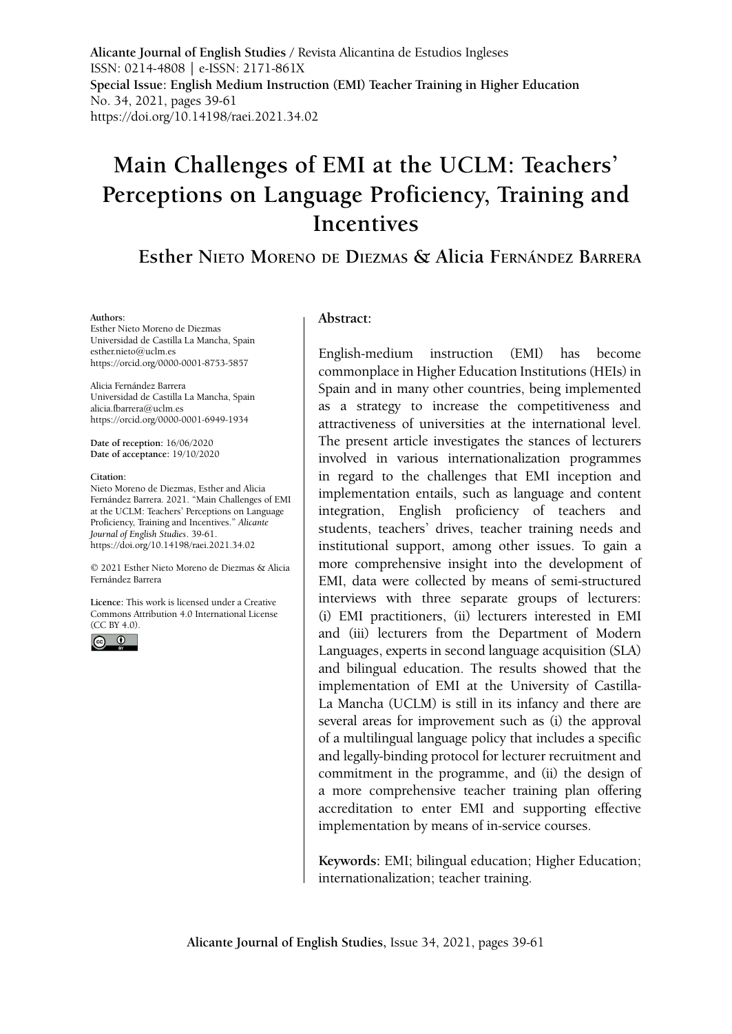**Alicante Journal of English Studies /** Revista Alicantina de Estudios Ingleses ISSN: 0214-4808 | e-ISSN: 2171-861X **Special Issue: English Medium Instruction (EMI) Teacher Training in Higher Education** No. 34, 2021, pages 39-61 https://doi.org/10.14198/raei.2021.34.02

# **Main Challenges of EMI at the UCLM: Teachers' Perceptions on Language Proficiency, Training and Incentives**

# **Esther Nieto Moreno de Diezmas & Alicia Fernández Barrera**

#### **Authors:**

Esther Nieto Moreno de Diezmas Universidad de Castilla La Mancha, Spain esther.nieto@uclm.es <https://orcid.org/0000-0001-8753-5857>

Alicia Fernández Barrera Universidad de Castilla La Mancha, Spain alicia.fbarrera@uclm.es <https://orcid.org/0000-0001-6949-1934>

**Date of reception:** 16/06/2020 **Date of acceptance:** 19/10/2020

#### **Citation:**

Nieto Moreno de Diezmas, Esther and Alicia Fernández Barrera. 2021. "Main Challenges of EMI at the UCLM: Teachers' Perceptions on Language Proficiency, Training and Incentives." *Alicante Journal of English Studies*. 39-61[.](https://doi.org/10.14198/raei.2020.33.06 ) https://doi.org/10.14198/raei.2021.34.02

© 2021 Esther Nieto Moreno de Diezmas & Alicia Fernández Barrera

**Licence:** [This work is licensed under a Creative](https://creativecommons.org/licenses/by/4.0/)  [Commons Attribution 4.0 International License](https://creativecommons.org/licenses/by/4.0/)  [\(CC BY 4.0\).](https://creativecommons.org/licenses/by/4.0/)



#### **Abstract:**

English-medium instruction (EMI) has become commonplace in Higher Education Institutions (HEIs) in Spain and in many other countries, being implemented as a strategy to increase the competitiveness and attractiveness of universities at the international level. The present article investigates the stances of lecturers involved in various internationalization programmes in regard to the challenges that EMI inception and implementation entails, such as language and content integration, English proficiency of teachers and students, teachers' drives, teacher training needs and institutional support, among other issues. To gain a more comprehensive insight into the development of EMI, data were collected by means of semi-structured interviews with three separate groups of lecturers: (i) EMI practitioners, (ii) lecturers interested in EMI and (iii) lecturers from the Department of Modern Languages, experts in second language acquisition (SLA) and bilingual education. The results showed that the implementation of EMI at the University of Castilla-La Mancha (UCLM) is still in its infancy and there are several areas for improvement such as (i) the approval of a multilingual language policy that includes a specific and legally-binding protocol for lecturer recruitment and commitment in the programme, and (ii) the design of a more comprehensive teacher training plan offering accreditation to enter EMI and supporting effective implementation by means of in-service courses.

**Keywords:** EMI; bilingual education; Higher Education; internationalization; teacher training.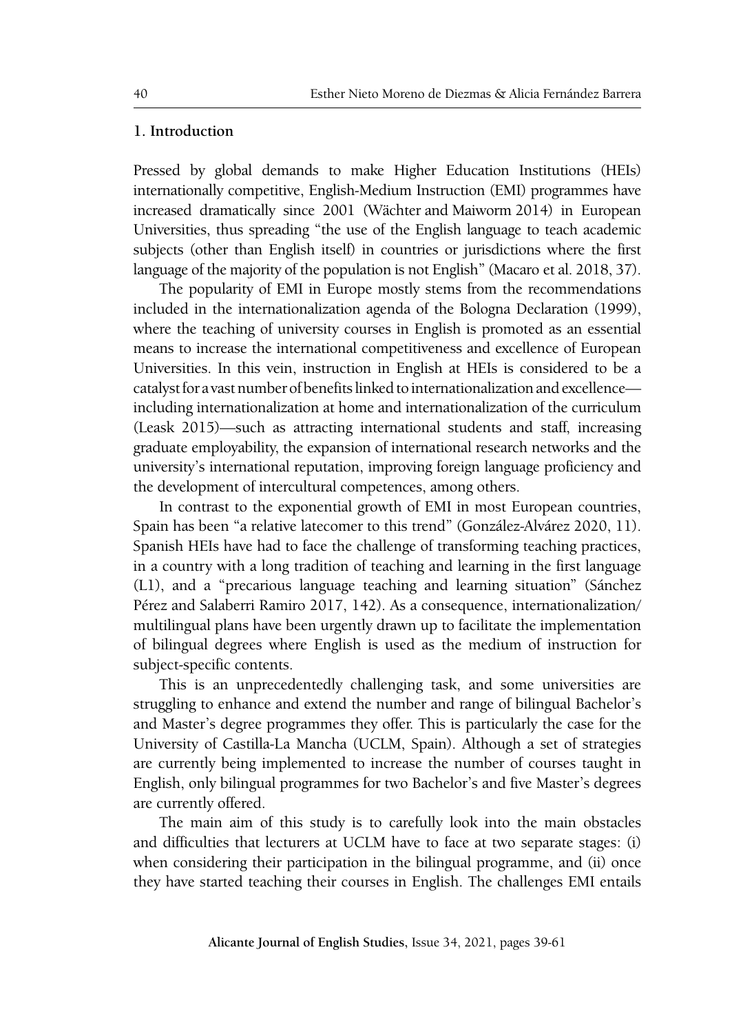# **1. Introduction**

Pressed by global demands to make Higher Education Institutions (HEIs) internationally competitive, English-Medium Instruction (EMI) programmes have increased dramatically since 2001 (Wächter and Maiworm 2014) in European Universities, thus spreading "the use of the English language to teach academic subjects (other than English itself) in countries or jurisdictions where the first language of the majority of the population is not English" (Macaro et al. 2018, 37).

The popularity of EMI in Europe mostly stems from the recommendations included in the internationalization agenda of the Bologna Declaration (1999), where the teaching of university courses in English is promoted as an essential means to increase the international competitiveness and excellence of European Universities. In this vein, instruction in English at HEIs is considered to be a catalyst for a vast number of benefits linked to internationalization and excellence including internationalization at home and internationalization of the curriculum (Leask 2015)—such as attracting international students and staff, increasing graduate employability, the expansion of international research networks and the university's international reputation, improving foreign language proficiency and the development of intercultural competences, among others.

In contrast to the exponential growth of EMI in most European countries, Spain has been "a relative latecomer to this trend" (González-Alvárez 2020, 11). Spanish HEIs have had to face the challenge of transforming teaching practices, in a country with a long tradition of teaching and learning in the first language (L1), and a "precarious language teaching and learning situation" (Sánchez Pérez and Salaberri Ramiro 2017, 142). As a consequence, internationalization/ multilingual plans have been urgently drawn up to facilitate the implementation of bilingual degrees where English is used as the medium of instruction for subject-specific contents.

This is an unprecedentedly challenging task, and some universities are struggling to enhance and extend the number and range of bilingual Bachelor's and Master's degree programmes they offer. This is particularly the case for the University of Castilla-La Mancha (UCLM, Spain). Although a set of strategies are currently being implemented to increase the number of courses taught in English, only bilingual programmes for two Bachelor's and five Master's degrees are currently offered.

The main aim of this study is to carefully look into the main obstacles and difficulties that lecturers at UCLM have to face at two separate stages: (i) when considering their participation in the bilingual programme, and (ii) once they have started teaching their courses in English. The challenges EMI entails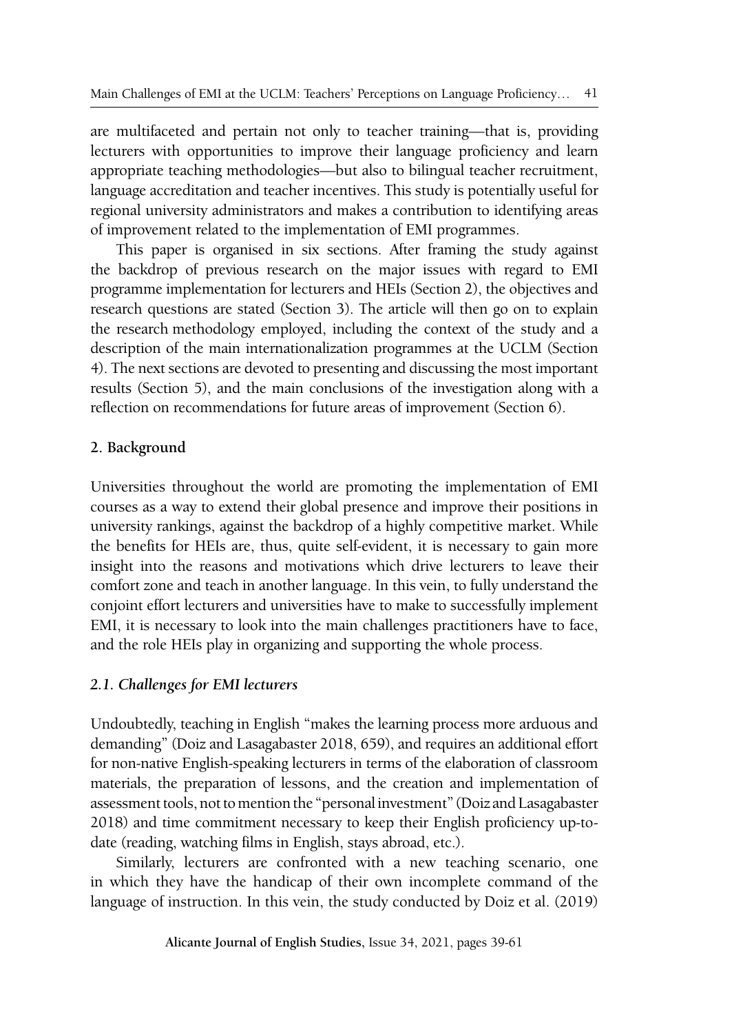are multifaceted and pertain not only to teacher training—that is, providing lecturers with opportunities to improve their language proficiency and learn appropriate teaching methodologies—but also to bilingual teacher recruitment, language accreditation and teacher incentives. This study is potentially useful for regional university administrators and makes a contribution to identifying areas of improvement related to the implementation of EMI programmes.

This paper is organised in six sections. After framing the study against the backdrop of previous research on the major issues with regard to EMI programme implementation for lecturers and HEIs (Section 2), the objectives and research questions are stated (Section 3). The article will then go on to explain the research methodology employed, including the context of the study and a description of the main internationalization programmes at the UCLM (Section 4). The next sections are devoted to presenting and discussing the most important results (Section 5), and the main conclusions of the investigation along with a reflection on recommendations for future areas of improvement (Section 6).

# **2. Background**

Universities throughout the world are promoting the implementation of EMI courses as a way to extend their global presence and improve their positions in university rankings, against the backdrop of a highly competitive market. While the benefits for HEIs are, thus, quite self-evident, it is necessary to gain more insight into the reasons and motivations which drive lecturers to leave their comfort zone and teach in another language. In this vein, to fully understand the conjoint effort lecturers and universities have to make to successfully implement EMI, it is necessary to look into the main challenges practitioners have to face, and the role HEIs play in organizing and supporting the whole process.

# *2.1. Challenges for EMI lecturers*

Undoubtedly, teaching in English "makes the learning process more arduous and demanding" (Doiz and Lasagabaster 2018, 659), and requires an additional effort for non-native English-speaking lecturers in terms of the elaboration of classroom materials, the preparation of lessons, and the creation and implementation of assessment tools, not to mention the "personal investment" (Doiz and Lasagabaster 2018) and time commitment necessary to keep their English proficiency up-todate (reading, watching films in English, stays abroad, etc.).

Similarly, lecturers are confronted with a new teaching scenario, one in which they have the handicap of their own incomplete command of the language of instruction. In this vein, the study conducted by Doiz et al. (2019)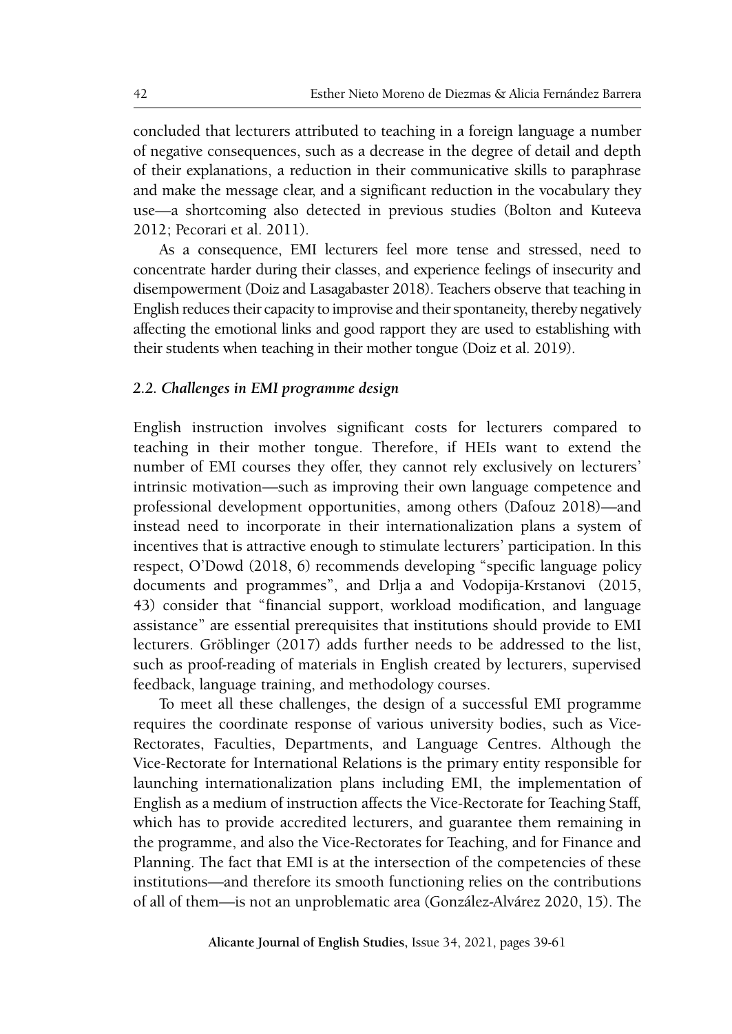concluded that lecturers attributed to teaching in a foreign language a number of negative consequences, such as a decrease in the degree of detail and depth of their explanations, a reduction in their communicative skills to paraphrase and make the message clear, and a significant reduction in the vocabulary they use—a shortcoming also detected in previous studies (Bolton and Kuteeva 2012; Pecorari et al. 2011).

As a consequence, EMI lecturers feel more tense and stressed, need to concentrate harder during their classes, and experience feelings of insecurity and disempowerment (Doiz and Lasagabaster 2018). Teachers observe that teaching in English reduces their capacity to improvise and their spontaneity, thereby negatively affecting the emotional links and good rapport they are used to establishing with their students when teaching in their mother tongue (Doiz et al. 2019).

# *2.2. Challenges in EMI programme design*

English instruction involves significant costs for lecturers compared to teaching in their mother tongue. Therefore, if HEIs want to extend the number of EMI courses they offer, they cannot rely exclusively on lecturers' intrinsic motivation—such as improving their own language competence and professional development opportunities, among others (Dafouz 2018)—and instead need to incorporate in their internationalization plans a system of incentives that is attractive enough to stimulate lecturers' participation. In this respect, O'Dowd (2018, 6) recommends developing "specific language policy documents and programmes", and Drlja a and Vodopija-Krstanovi (2015, 43) consider that "financial support, workload modification, and language assistance" are essential prerequisites that institutions should provide to EMI lecturers. Gröblinger (2017) adds further needs to be addressed to the list, such as proof-reading of materials in English created by lecturers, supervised feedback, language training, and methodology courses.

To meet all these challenges, the design of a successful EMI programme requires the coordinate response of various university bodies, such as Vice-Rectorates, Faculties, Departments, and Language Centres. Although the Vice-Rectorate for International Relations is the primary entity responsible for launching internationalization plans including EMI, the implementation of English as a medium of instruction affects the Vice-Rectorate for Teaching Staff, which has to provide accredited lecturers, and guarantee them remaining in the programme, and also the Vice-Rectorates for Teaching, and for Finance and Planning. The fact that EMI is at the intersection of the competencies of these institutions—and therefore its smooth functioning relies on the contributions of all of them—is not an unproblematic area (González-Alvárez 2020, 15). The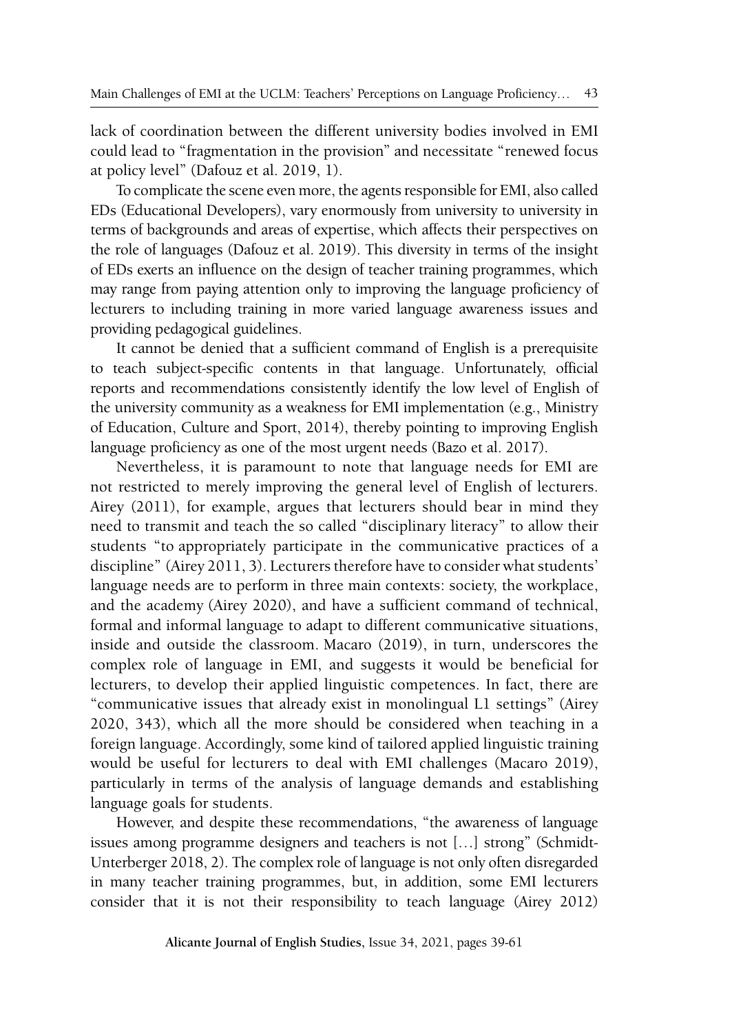lack of coordination between the different university bodies involved in EMI could lead to "fragmentation in the provision" and necessitate "renewed focus at policy level" (Dafouz et al. 2019, 1).

To complicate the scene even more, the agents responsible for EMI, also called EDs (Educational Developers), vary enormously from university to university in terms of backgrounds and areas of expertise, which affects their perspectives on the role of languages (Dafouz et al. 2019). This diversity in terms of the insight of EDs exerts an influence on the design of teacher training programmes, which may range from paying attention only to improving the language proficiency of lecturers to including training in more varied language awareness issues and providing pedagogical guidelines.

It cannot be denied that a sufficient command of English is a prerequisite to teach subject-specific contents in that language. Unfortunately, official reports and recommendations consistently identify the low level of English of the university community as a weakness for EMI implementation (e.g., Ministry of Education, Culture and Sport, 2014), thereby pointing to improving English language proficiency as one of the most urgent needs (Bazo et al. 2017).

Nevertheless, it is paramount to note that language needs for EMI are not restricted to merely improving the general level of English of lecturers. Airey (2011), for example, argues that lecturers should bear in mind they need to transmit and teach the so called "disciplinary literacy" to allow their students "to appropriately participate in the communicative practices of a discipline" (Airey 2011, 3). Lecturers therefore have to consider what students' language needs are to perform in three main contexts: society, the workplace, and the academy (Airey 2020), and have a sufficient command of technical, formal and informal language to adapt to different communicative situations, inside and outside the classroom. Macaro (2019), in turn, underscores the complex role of language in EMI, and suggests it would be beneficial for lecturers, to develop their applied linguistic competences. In fact, there are "communicative issues that already exist in monolingual L1 settings" (Airey 2020, 343), which all the more should be considered when teaching in a foreign language. Accordingly, some kind of tailored applied linguistic training would be useful for lecturers to deal with EMI challenges (Macaro 2019), particularly in terms of the analysis of language demands and establishing language goals for students.

However, and despite these recommendations, "the awareness of language issues among programme designers and teachers is not […] strong" (Schmidt-Unterberger 2018, 2). The complex role of language is not only often disregarded in many teacher training programmes, but, in addition, some EMI lecturers consider that it is not their responsibility to teach language (Airey 2012)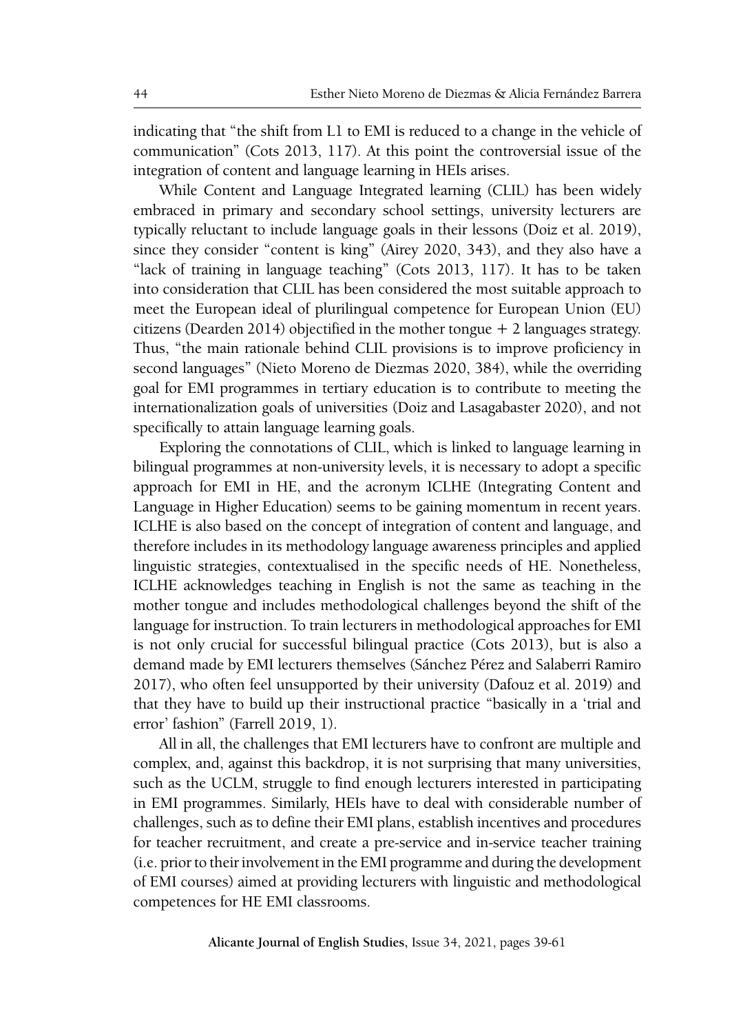indicating that "the shift from L1 to EMI is reduced to a change in the vehicle of communication" (Cots 2013, 117). At this point the controversial issue of the integration of content and language learning in HEIs arises.

While Content and Language Integrated learning (CLIL) has been widely embraced in primary and secondary school settings, university lecturers are typically reluctant to include language goals in their lessons (Doiz et al. 2019), since they consider "content is king" (Airey 2020, 343), and they also have a "lack of training in language teaching" (Cots 2013, 117). It has to be taken into consideration that CLIL has been considered the most suitable approach to meet the European ideal of plurilingual competence for European Union (EU) citizens (Dearden 2014) objectified in the mother tongue  $+$  2 languages strategy. Thus, "the main rationale behind CLIL provisions is to improve proficiency in second languages" (Nieto Moreno de Diezmas 2020, 384), while the overriding goal for EMI programmes in tertiary education is to contribute to meeting the internationalization goals of universities (Doiz and Lasagabaster 2020), and not specifically to attain language learning goals.

Exploring the connotations of CLIL, which is linked to language learning in bilingual programmes at non-university levels, it is necessary to adopt a specific approach for EMI in HE, and the acronym ICLHE (Integrating Content and Language in Higher Education) seems to be gaining momentum in recent years. ICLHE is also based on the concept of integration of content and language, and therefore includes in its methodology language awareness principles and applied linguistic strategies, contextualised in the specific needs of HE. Nonetheless, ICLHE acknowledges teaching in English is not the same as teaching in the mother tongue and includes methodological challenges beyond the shift of the language for instruction. To train lecturers in methodological approaches for EMI is not only crucial for successful bilingual practice (Cots 2013), but is also a demand made by EMI lecturers themselves (Sánchez Pérez and Salaberri Ramiro 2017), who often feel unsupported by their university (Dafouz et al. 2019) and that they have to build up their instructional practice "basically in a 'trial and error' fashion" (Farrell 2019, 1).

All in all, the challenges that EMI lecturers have to confront are multiple and complex, and, against this backdrop, it is not surprising that many universities, such as the UCLM, struggle to find enough lecturers interested in participating in EMI programmes. Similarly, HEIs have to deal with considerable number of challenges, such as to define their EMI plans, establish incentives and procedures for teacher recruitment, and create a pre-service and in-service teacher training (i.e. prior to their involvement in the EMI programme and during the development of EMI courses) aimed at providing lecturers with linguistic and methodological competences for HE EMI classrooms.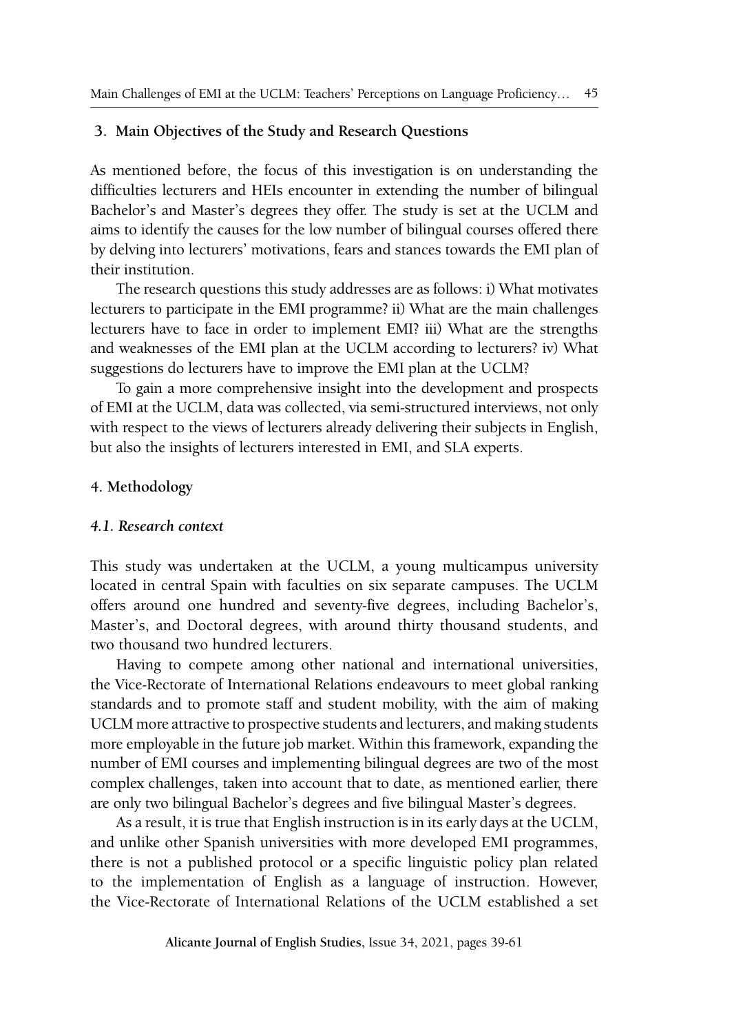# **3. Main Objectives of the Study and Research Questions**

As mentioned before, the focus of this investigation is on understanding the difficulties lecturers and HEIs encounter in extending the number of bilingual Bachelor's and Master's degrees they offer. The study is set at the UCLM and aims to identify the causes for the low number of bilingual courses offered there by delving into lecturers' motivations, fears and stances towards the EMI plan of their institution.

The research questions this study addresses are as follows: i) What motivates lecturers to participate in the EMI programme? ii) What are the main challenges lecturers have to face in order to implement EMI? iii) What are the strengths and weaknesses of the EMI plan at the UCLM according to lecturers? iv) What suggestions do lecturers have to improve the EMI plan at the UCLM?

To gain a more comprehensive insight into the development and prospects of EMI at the UCLM, data was collected, via semi-structured interviews, not only with respect to the views of lecturers already delivering their subjects in English, but also the insights of lecturers interested in EMI, and SLA experts.

# **4. Methodology**

#### *4.1. Research context*

This study was undertaken at the UCLM, a young multicampus university located in central Spain with faculties on six separate campuses. The UCLM offers around one hundred and seventy-five degrees, including Bachelor's, Master's, and Doctoral degrees, with around thirty thousand students, and two thousand two hundred lecturers.

Having to compete among other national and international universities, the Vice-Rectorate of International Relations endeavours to meet global ranking standards and to promote staff and student mobility, with the aim of making UCLM more attractive to prospective students and lecturers, and making students more employable in the future job market. Within this framework, expanding the number of EMI courses and implementing bilingual degrees are two of the most complex challenges, taken into account that to date, as mentioned earlier, there are only two bilingual Bachelor's degrees and five bilingual Master's degrees.

As a result, it is true that English instruction is in its early days at the UCLM, and unlike other Spanish universities with more developed EMI programmes, there is not a published protocol or a specific linguistic policy plan related to the implementation of English as a language of instruction. However, the Vice-Rectorate of International Relations of the UCLM established a set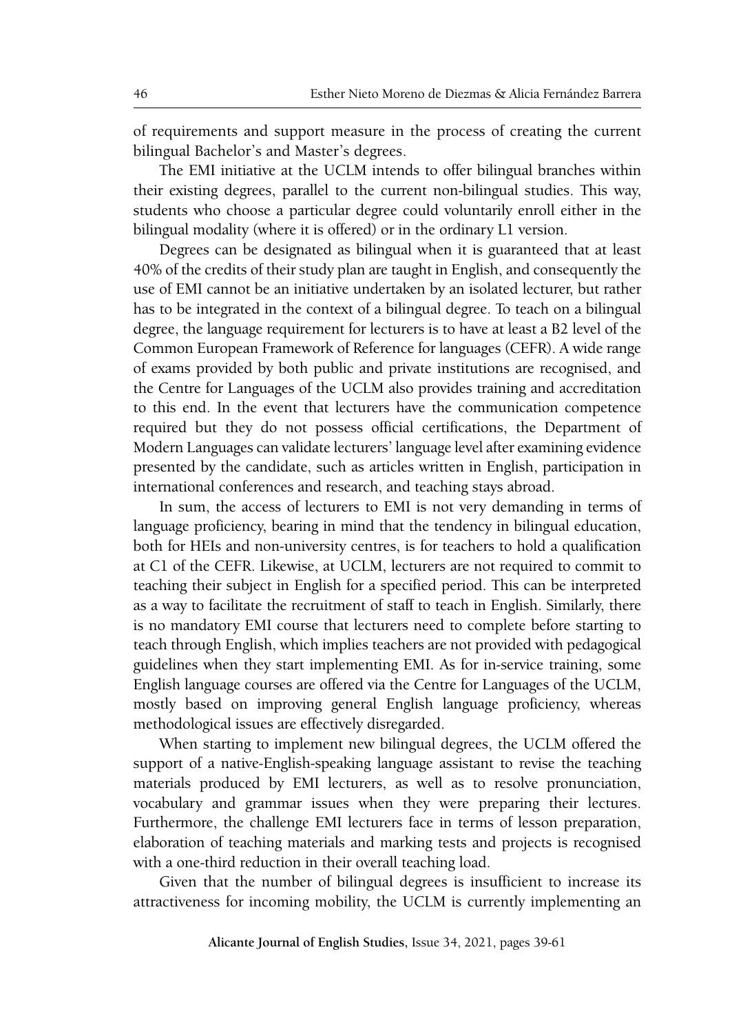of requirements and support measure in the process of creating the current bilingual Bachelor's and Master's degrees.

The EMI initiative at the UCLM intends to offer bilingual branches within their existing degrees, parallel to the current non-bilingual studies. This way, students who choose a particular degree could voluntarily enroll either in the bilingual modality (where it is offered) or in the ordinary L1 version.

Degrees can be designated as bilingual when it is guaranteed that at least 40% of the credits of their study plan are taught in English, and consequently the use of EMI cannot be an initiative undertaken by an isolated lecturer, but rather has to be integrated in the context of a bilingual degree. To teach on a bilingual degree, the language requirement for lecturers is to have at least a B2 level of the Common European Framework of Reference for languages (CEFR). A wide range of exams provided by both public and private institutions are recognised, and the Centre for Languages of the UCLM also provides training and accreditation to this end. In the event that lecturers have the communication competence required but they do not possess official certifications, the Department of Modern Languages can validate lecturers' language level after examining evidence presented by the candidate, such as articles written in English, participation in international conferences and research, and teaching stays abroad.

In sum, the access of lecturers to EMI is not very demanding in terms of language proficiency, bearing in mind that the tendency in bilingual education, both for HEIs and non-university centres, is for teachers to hold a qualification at C1 of the CEFR. Likewise, at UCLM, lecturers are not required to commit to teaching their subject in English for a specified period. This can be interpreted as a way to facilitate the recruitment of staff to teach in English. Similarly, there is no mandatory EMI course that lecturers need to complete before starting to teach through English, which implies teachers are not provided with pedagogical guidelines when they start implementing EMI. As for in-service training, some English language courses are offered via the Centre for Languages of the UCLM, mostly based on improving general English language proficiency, whereas methodological issues are effectively disregarded.

When starting to implement new bilingual degrees, the UCLM offered the support of a native-English-speaking language assistant to revise the teaching materials produced by EMI lecturers, as well as to resolve pronunciation, vocabulary and grammar issues when they were preparing their lectures. Furthermore, the challenge EMI lecturers face in terms of lesson preparation, elaboration of teaching materials and marking tests and projects is recognised with a one-third reduction in their overall teaching load.

Given that the number of bilingual degrees is insufficient to increase its attractiveness for incoming mobility, the UCLM is currently implementing an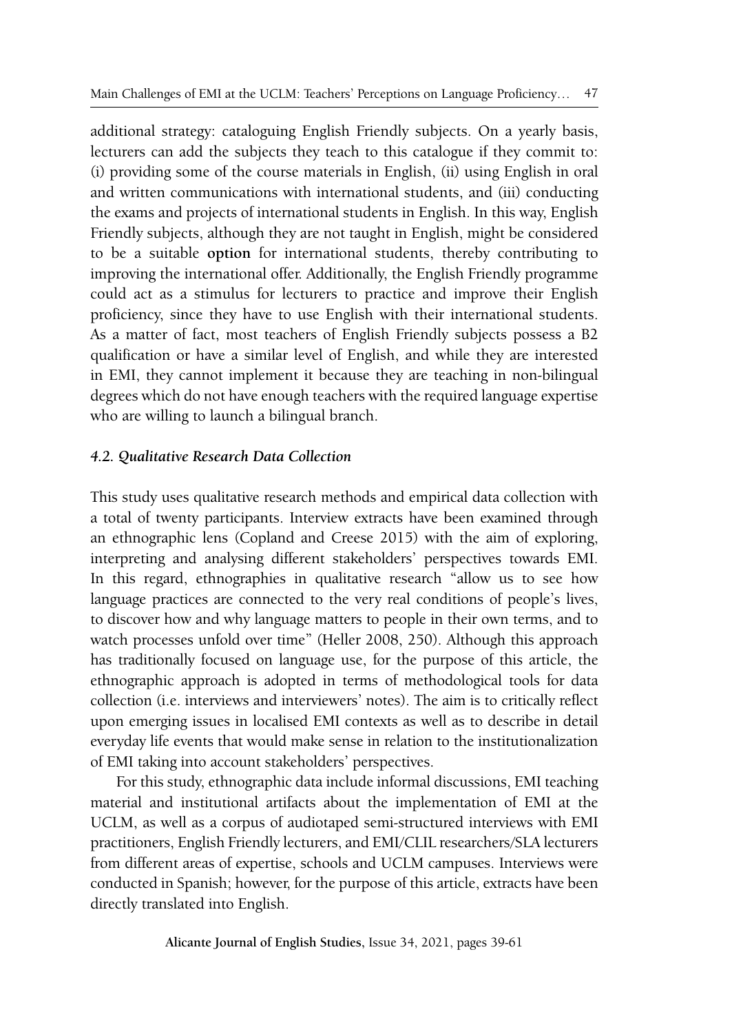additional strategy: cataloguing English Friendly subjects. On a yearly basis, lecturers can add the subjects they teach to this catalogue if they commit to: (i) providing some of the course materials in English, (ii) using English in oral and written communications with international students, and (iii) conducting the exams and projects of international students in English. In this way, English Friendly subjects, although they are not taught in English, might be considered to be a suitable **option** for international students, thereby contributing to improving the international offer. Additionally, the English Friendly programme could act as a stimulus for lecturers to practice and improve their English proficiency, since they have to use English with their international students. As a matter of fact, most teachers of English Friendly subjects possess a B2 qualification or have a similar level of English, and while they are interested in EMI, they cannot implement it because they are teaching in non-bilingual degrees which do not have enough teachers with the required language expertise who are willing to launch a bilingual branch.

# *4.2. Qualitative Research Data Collection*

This study uses qualitative research methods and empirical data collection with a total of twenty participants. Interview extracts have been examined through an ethnographic lens (Copland and Creese 2015) with the aim of exploring, interpreting and analysing different stakeholders' perspectives towards EMI. In this regard, ethnographies in qualitative research "allow us to see how language practices are connected to the very real conditions of people's lives, to discover how and why language matters to people in their own terms, and to watch processes unfold over time" (Heller 2008, 250). Although this approach has traditionally focused on language use, for the purpose of this article, the ethnographic approach is adopted in terms of methodological tools for data collection (i.e. interviews and interviewers' notes). The aim is to critically reflect upon emerging issues in localised EMI contexts as well as to describe in detail everyday life events that would make sense in relation to the institutionalization of EMI taking into account stakeholders' perspectives.

For this study, ethnographic data include informal discussions, EMI teaching material and institutional artifacts about the implementation of EMI at the UCLM, as well as a corpus of audiotaped semi-structured interviews with EMI practitioners, English Friendly lecturers, and EMI/CLIL researchers/SLA lecturers from different areas of expertise, schools and UCLM campuses. Interviews were conducted in Spanish; however, for the purpose of this article, extracts have been directly translated into English.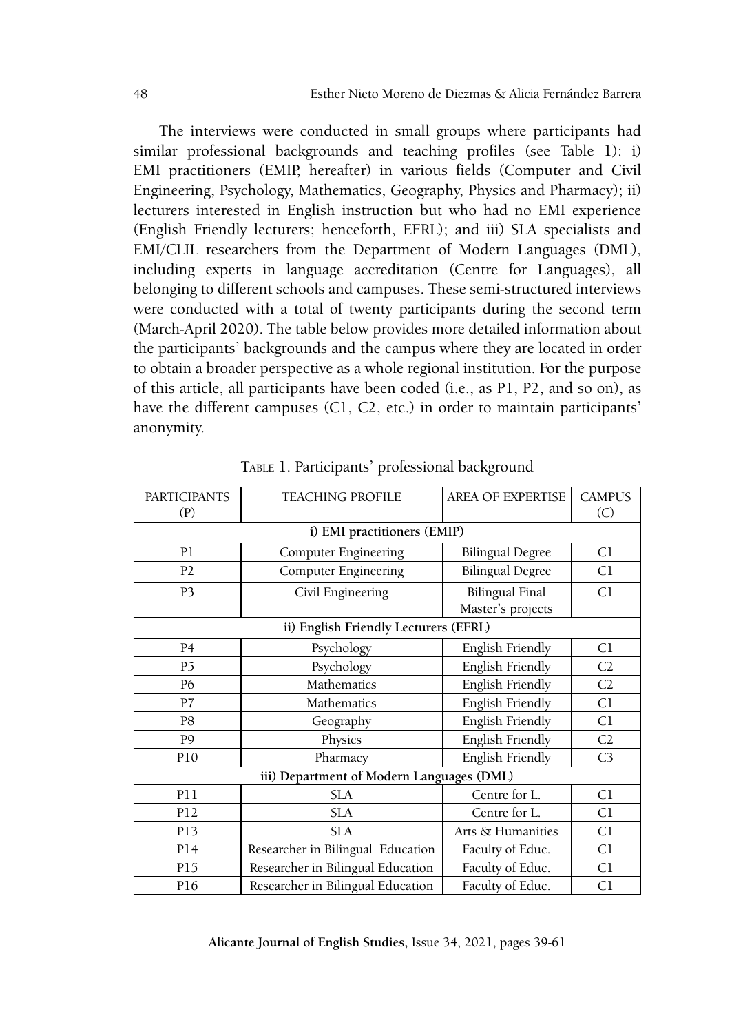The interviews were conducted in small groups where participants had similar professional backgrounds and teaching profiles (see Table 1): i) EMI practitioners (EMIP, hereafter) in various fields (Computer and Civil Engineering, Psychology, Mathematics, Geography, Physics and Pharmacy); ii) lecturers interested in English instruction but who had no EMI experience (English Friendly lecturers; henceforth, EFRL); and iii) SLA specialists and EMI/CLIL researchers from the Department of Modern Languages (DML), including experts in language accreditation (Centre for Languages), all belonging to different schools and campuses. These semi-structured interviews were conducted with a total of twenty participants during the second term (March-April 2020). The table below provides more detailed information about the participants' backgrounds and the campus where they are located in order to obtain a broader perspective as a whole regional institution. For the purpose of this article, all participants have been coded (i.e., as P1, P2, and so on), as have the different campuses (C1, C2, etc.) in order to maintain participants' anonymity.

| <b>PARTICIPANTS</b>                       | <b>TEACHING PROFILE</b>           | <b>AREA OF EXPERTISE</b>                    | <b>CAMPUS</b>  |  |  |
|-------------------------------------------|-----------------------------------|---------------------------------------------|----------------|--|--|
| (P)                                       |                                   |                                             | (C)            |  |  |
| i) EMI practitioners (EMIP)               |                                   |                                             |                |  |  |
| P1                                        | Computer Engineering              | <b>Bilingual Degree</b>                     | C1             |  |  |
| P <sub>2</sub>                            | Computer Engineering              | <b>Bilingual Degree</b>                     | C1             |  |  |
| P <sub>3</sub>                            | Civil Engineering                 | <b>Bilingual Final</b><br>Master's projects | C <sub>1</sub> |  |  |
| ii) English Friendly Lecturers (EFRL)     |                                   |                                             |                |  |  |
| P <sub>4</sub>                            | Psychology                        | English Friendly                            | C1             |  |  |
| P <sub>5</sub>                            | Psychology                        | English Friendly                            | C <sub>2</sub> |  |  |
| P <sub>6</sub>                            | Mathematics                       | English Friendly                            | C <sub>2</sub> |  |  |
| P7                                        | Mathematics                       | English Friendly                            | C1             |  |  |
| P8                                        | Geography                         | English Friendly                            | C1             |  |  |
| P <sub>9</sub>                            | Physics                           | English Friendly                            | C <sub>2</sub> |  |  |
| P10                                       | Pharmacy                          | English Friendly                            | C <sub>3</sub> |  |  |
| iii) Department of Modern Languages (DML) |                                   |                                             |                |  |  |
| <b>P11</b>                                | <b>SLA</b>                        | Centre for L.                               | C1             |  |  |
| P12                                       | <b>SLA</b>                        | Centre for L.                               | C1             |  |  |
| P13                                       | <b>SLA</b>                        | Arts & Humanities                           | C1             |  |  |
| P14                                       | Researcher in Bilingual Education | Faculty of Educ.                            | C1             |  |  |
| P15                                       | Researcher in Bilingual Education | Faculty of Educ.                            | C1             |  |  |
| P16                                       | Researcher in Bilingual Education | Faculty of Educ.                            | C <sub>1</sub> |  |  |

Table 1. Participants' professional background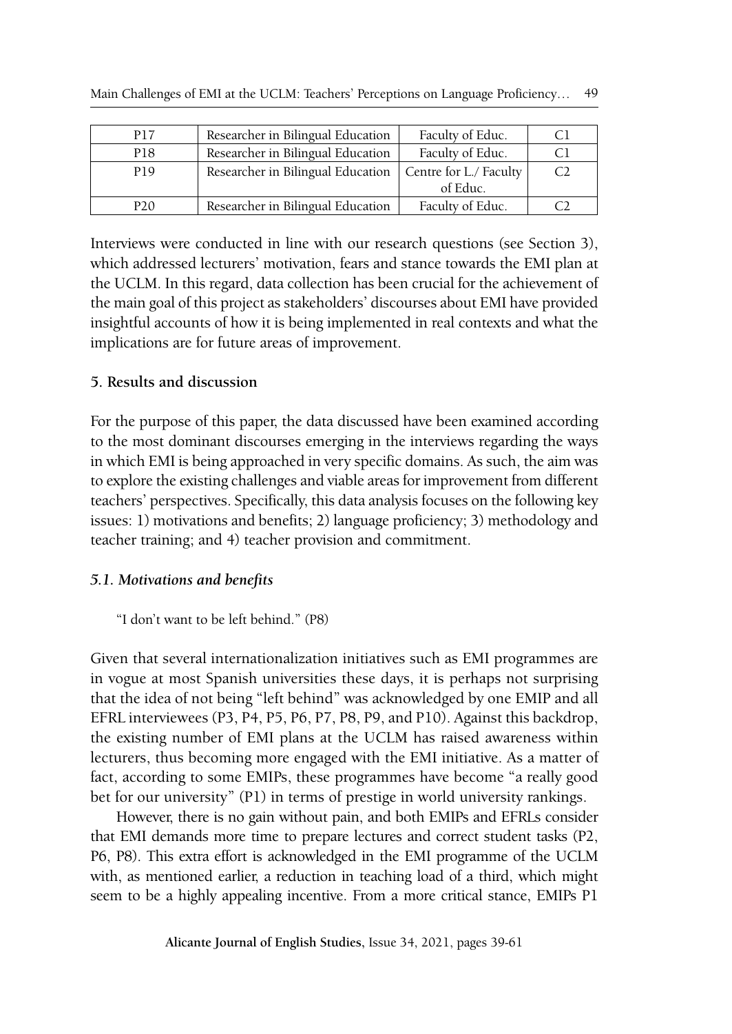| Main Challenges of EMI at the UCLM: Teachers' Perceptions on Language Proficiency |  | 49 |
|-----------------------------------------------------------------------------------|--|----|
|-----------------------------------------------------------------------------------|--|----|

| P17             | Researcher in Bilingual Education | Faculty of Educ.       | Cl |
|-----------------|-----------------------------------|------------------------|----|
| P18             | Researcher in Bilingual Education | Faculty of Educ.       | Cl |
| P19             | Researcher in Bilingual Education | Centre for L./ Faculty | C2 |
|                 |                                   | of Educ.               |    |
| P <sub>20</sub> | Researcher in Bilingual Education | Faculty of Educ.       |    |

Interviews were conducted in line with our research questions (see Section 3), which addressed lecturers' motivation, fears and stance towards the EMI plan at the UCLM. In this regard, data collection has been crucial for the achievement of the main goal of this project as stakeholders' discourses about EMI have provided insightful accounts of how it is being implemented in real contexts and what the implications are for future areas of improvement.

# **5. Results and discussion**

For the purpose of this paper, the data discussed have been examined according to the most dominant discourses emerging in the interviews regarding the ways in which EMI is being approached in very specific domains. As such, the aim was to explore the existing challenges and viable areas for improvement from different teachers' perspectives. Specifically, this data analysis focuses on the following key issues: 1) motivations and benefits; 2) language proficiency; 3) methodology and teacher training; and 4) teacher provision and commitment.

# *5.1. Motivations and benefits*

# "I don't want to be left behind." (P8)

Given that several internationalization initiatives such as EMI programmes are in vogue at most Spanish universities these days, it is perhaps not surprising that the idea of not being "left behind" was acknowledged by one EMIP and all EFRL interviewees (P3, P4, P5, P6, P7, P8, P9, and P10). Against this backdrop, the existing number of EMI plans at the UCLM has raised awareness within lecturers, thus becoming more engaged with the EMI initiative. As a matter of fact, according to some EMIPs, these programmes have become "a really good bet for our university" (P1) in terms of prestige in world university rankings.

However, there is no gain without pain, and both EMIPs and EFRLs consider that EMI demands more time to prepare lectures and correct student tasks (P2, P6, P8). This extra effort is acknowledged in the EMI programme of the UCLM with, as mentioned earlier, a reduction in teaching load of a third, which might seem to be a highly appealing incentive. From a more critical stance, EMIPs P1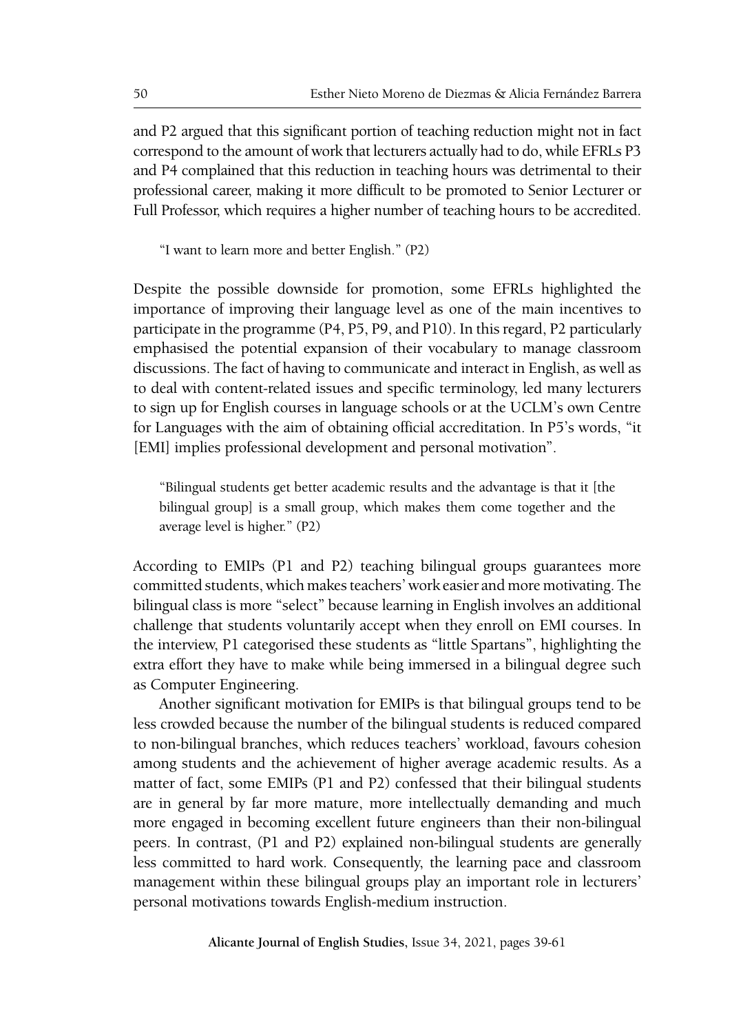and P2 argued that this significant portion of teaching reduction might not in fact correspond to the amount of work that lecturers actually had to do, while EFRLs P3 and P4 complained that this reduction in teaching hours was detrimental to their professional career, making it more difficult to be promoted to Senior Lecturer or Full Professor, which requires a higher number of teaching hours to be accredited.

"I want to learn more and better English." (P2)

Despite the possible downside for promotion, some EFRLs highlighted the importance of improving their language level as one of the main incentives to participate in the programme (P4, P5, P9, and P10). In this regard, P2 particularly emphasised the potential expansion of their vocabulary to manage classroom discussions. The fact of having to communicate and interact in English, as well as to deal with content-related issues and specific terminology, led many lecturers to sign up for English courses in language schools or at the UCLM's own Centre for Languages with the aim of obtaining official accreditation. In P5's words, "it [EMI] implies professional development and personal motivation".

"Bilingual students get better academic results and the advantage is that it [the bilingual group] is a small group, which makes them come together and the average level is higher." (P2)

According to EMIPs (P1 and P2) teaching bilingual groups guarantees more committed students, which makes teachers' work easier and more motivating. The bilingual class is more "select" because learning in English involves an additional challenge that students voluntarily accept when they enroll on EMI courses. In the interview, P1 categorised these students as "little Spartans", highlighting the extra effort they have to make while being immersed in a bilingual degree such as Computer Engineering.

Another significant motivation for EMIPs is that bilingual groups tend to be less crowded because the number of the bilingual students is reduced compared to non-bilingual branches, which reduces teachers' workload, favours cohesion among students and the achievement of higher average academic results. As a matter of fact, some EMIPs (P1 and P2) confessed that their bilingual students are in general by far more mature, more intellectually demanding and much more engaged in becoming excellent future engineers than their non-bilingual peers. In contrast, (P1 and P2) explained non-bilingual students are generally less committed to hard work. Consequently, the learning pace and classroom management within these bilingual groups play an important role in lecturers' personal motivations towards English-medium instruction.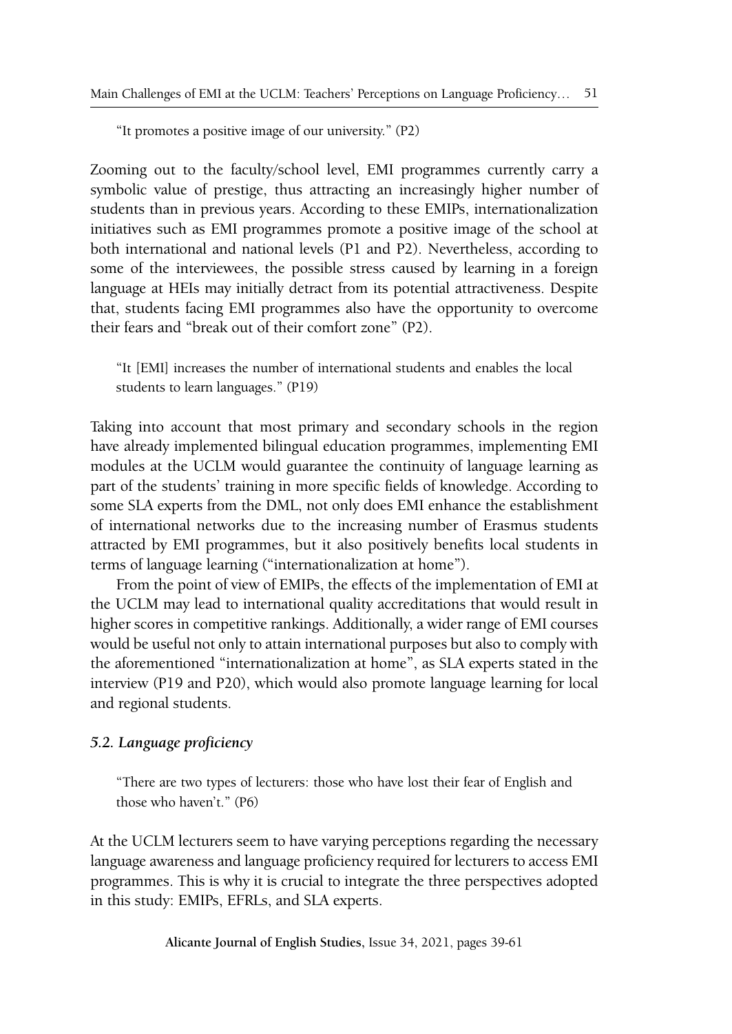"It promotes a positive image of our university." (P2)

Zooming out to the faculty/school level, EMI programmes currently carry a symbolic value of prestige, thus attracting an increasingly higher number of students than in previous years. According to these EMIPs, internationalization initiatives such as EMI programmes promote a positive image of the school at both international and national levels (P1 and P2). Nevertheless, according to some of the interviewees, the possible stress caused by learning in a foreign language at HEIs may initially detract from its potential attractiveness. Despite that, students facing EMI programmes also have the opportunity to overcome their fears and "break out of their comfort zone" (P2).

"It [EMI] increases the number of international students and enables the local students to learn languages." (P19)

Taking into account that most primary and secondary schools in the region have already implemented bilingual education programmes, implementing EMI modules at the UCLM would guarantee the continuity of language learning as part of the students' training in more specific fields of knowledge. According to some SLA experts from the DML, not only does EMI enhance the establishment of international networks due to the increasing number of Erasmus students attracted by EMI programmes, but it also positively benefits local students in terms of language learning ("internationalization at home").

From the point of view of EMIPs, the effects of the implementation of EMI at the UCLM may lead to international quality accreditations that would result in higher scores in competitive rankings. Additionally, a wider range of EMI courses would be useful not only to attain international purposes but also to comply with the aforementioned "internationalization at home", as SLA experts stated in the interview (P19 and P20), which would also promote language learning for local and regional students.

# *5.2. Language proficiency*

"There are two types of lecturers: those who have lost their fear of English and those who haven't." (P6)

At the UCLM lecturers seem to have varying perceptions regarding the necessary language awareness and language proficiency required for lecturers to access EMI programmes. This is why it is crucial to integrate the three perspectives adopted in this study: EMIPs, EFRLs, and SLA experts.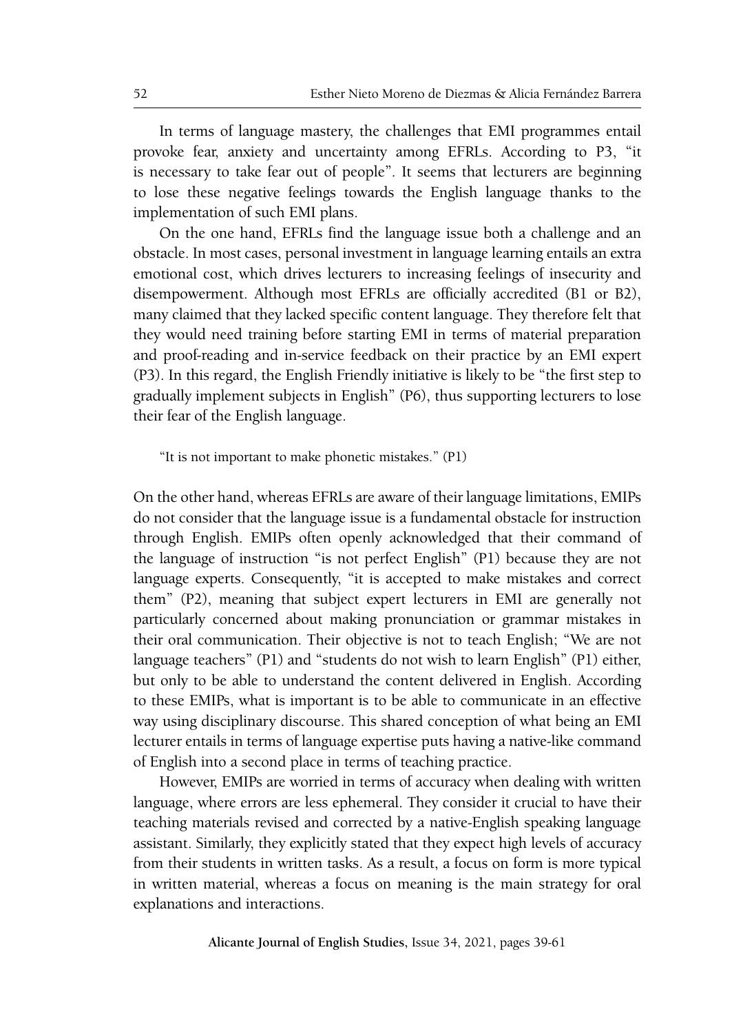In terms of language mastery, the challenges that EMI programmes entail provoke fear, anxiety and uncertainty among EFRLs. According to P3, "it is necessary to take fear out of people". It seems that lecturers are beginning to lose these negative feelings towards the English language thanks to the implementation of such EMI plans.

On the one hand, EFRLs find the language issue both a challenge and an obstacle. In most cases, personal investment in language learning entails an extra emotional cost, which drives lecturers to increasing feelings of insecurity and disempowerment. Although most EFRLs are officially accredited (B1 or B2), many claimed that they lacked specific content language. They therefore felt that they would need training before starting EMI in terms of material preparation and proof-reading and in-service feedback on their practice by an EMI expert (P3). In this regard, the English Friendly initiative is likely to be "the first step to gradually implement subjects in English" (P6), thus supporting lecturers to lose their fear of the English language.

# "It is not important to make phonetic mistakes." (P1)

On the other hand, whereas EFRLs are aware of their language limitations, EMIPs do not consider that the language issue is a fundamental obstacle for instruction through English. EMIPs often openly acknowledged that their command of the language of instruction "is not perfect English" (P1) because they are not language experts. Consequently, "it is accepted to make mistakes and correct them" (P2), meaning that subject expert lecturers in EMI are generally not particularly concerned about making pronunciation or grammar mistakes in their oral communication. Their objective is not to teach English; "We are not language teachers" (P1) and "students do not wish to learn English" (P1) either, but only to be able to understand the content delivered in English. According to these EMIPs, what is important is to be able to communicate in an effective way using disciplinary discourse. This shared conception of what being an EMI lecturer entails in terms of language expertise puts having a native-like command of English into a second place in terms of teaching practice.

However, EMIPs are worried in terms of accuracy when dealing with written language, where errors are less ephemeral. They consider it crucial to have their teaching materials revised and corrected by a native-English speaking language assistant. Similarly, they explicitly stated that they expect high levels of accuracy from their students in written tasks. As a result, a focus on form is more typical in written material, whereas a focus on meaning is the main strategy for oral explanations and interactions.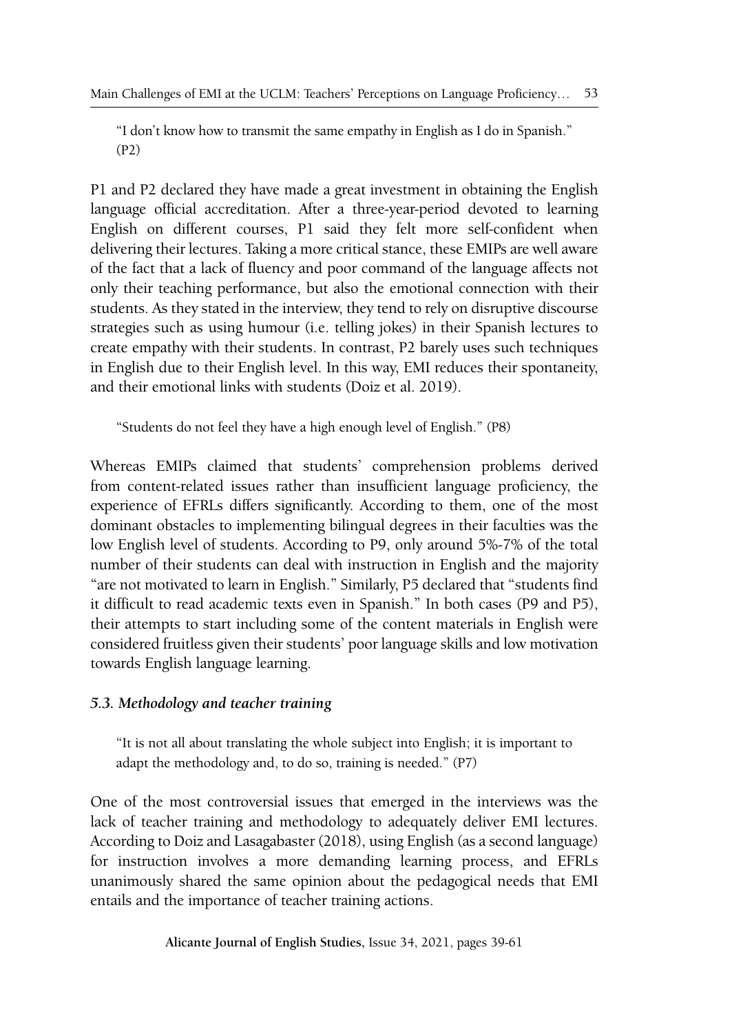"I don't know how to transmit the same empathy in English as I do in Spanish." (P2)

P1 and P2 declared they have made a great investment in obtaining the English language official accreditation. After a three-year-period devoted to learning English on different courses, P1 said they felt more self-confident when delivering their lectures. Taking a more critical stance, these EMIPs are well aware of the fact that a lack of fluency and poor command of the language affects not only their teaching performance, but also the emotional connection with their students. As they stated in the interview, they tend to rely on disruptive discourse strategies such as using humour (i.e. telling jokes) in their Spanish lectures to create empathy with their students. In contrast, P2 barely uses such techniques in English due to their English level. In this way, EMI reduces their spontaneity, and their emotional links with students (Doiz et al. 2019).

"Students do not feel they have a high enough level of English." (P8)

Whereas EMIPs claimed that students' comprehension problems derived from content-related issues rather than insufficient language proficiency, the experience of EFRLs differs significantly. According to them, one of the most dominant obstacles to implementing bilingual degrees in their faculties was the low English level of students. According to P9, only around 5%-7% of the total number of their students can deal with instruction in English and the majority "are not motivated to learn in English." Similarly, P5 declared that "students find it difficult to read academic texts even in Spanish." In both cases (P9 and P5), their attempts to start including some of the content materials in English were considered fruitless given their students' poor language skills and low motivation towards English language learning.

# *5.3. Methodology and teacher training*

"It is not all about translating the whole subject into English; it is important to adapt the methodology and, to do so, training is needed." (P7)

One of the most controversial issues that emerged in the interviews was the lack of teacher training and methodology to adequately deliver EMI lectures. According to Doiz and Lasagabaster (2018), using English (as a second language) for instruction involves a more demanding learning process, and EFRLs unanimously shared the same opinion about the pedagogical needs that EMI entails and the importance of teacher training actions.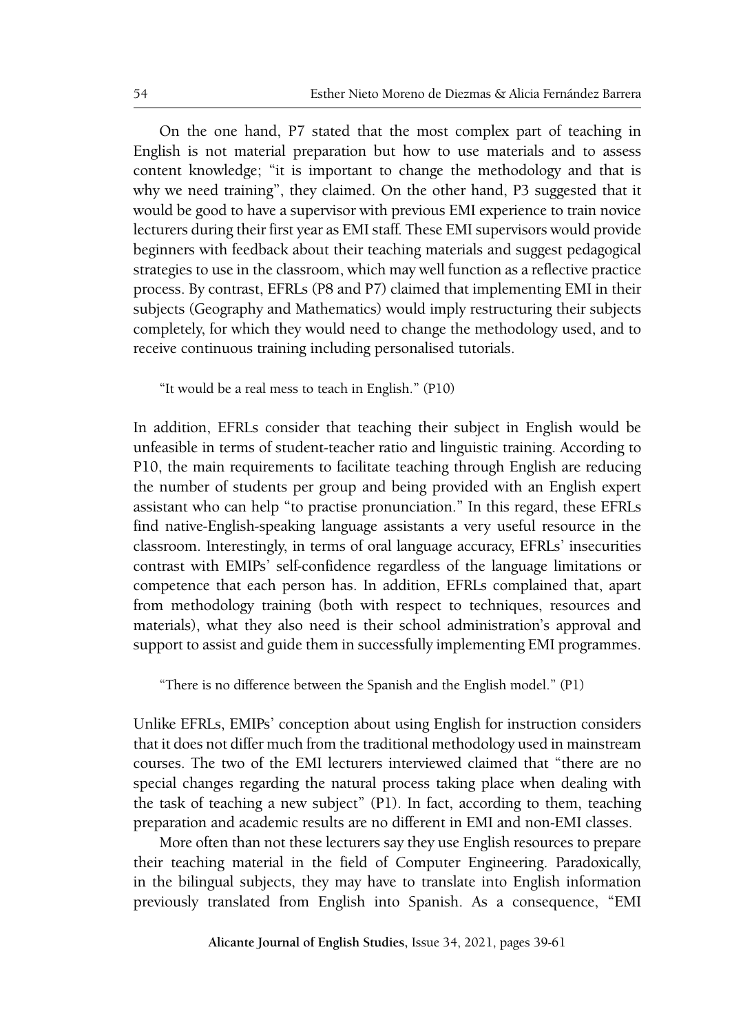On the one hand, P7 stated that the most complex part of teaching in English is not material preparation but how to use materials and to assess content knowledge; "it is important to change the methodology and that is why we need training", they claimed. On the other hand, P3 suggested that it would be good to have a supervisor with previous EMI experience to train novice lecturers during their first year as EMI staff. These EMI supervisors would provide beginners with feedback about their teaching materials and suggest pedagogical strategies to use in the classroom, which may well function as a reflective practice process. By contrast, EFRLs (P8 and P7) claimed that implementing EMI in their subjects (Geography and Mathematics) would imply restructuring their subjects completely, for which they would need to change the methodology used, and to receive continuous training including personalised tutorials.

"It would be a real mess to teach in English." (P10)

In addition, EFRLs consider that teaching their subject in English would be unfeasible in terms of student-teacher ratio and linguistic training. According to P10, the main requirements to facilitate teaching through English are reducing the number of students per group and being provided with an English expert assistant who can help "to practise pronunciation." In this regard, these EFRLs find native-English-speaking language assistants a very useful resource in the classroom. Interestingly, in terms of oral language accuracy, EFRLs' insecurities contrast with EMIPs' self-confidence regardless of the language limitations or competence that each person has. In addition, EFRLs complained that, apart from methodology training (both with respect to techniques, resources and materials), what they also need is their school administration's approval and support to assist and guide them in successfully implementing EMI programmes.

"There is no difference between the Spanish and the English model." (P1)

Unlike EFRLs, EMIPs' conception about using English for instruction considers that it does not differ much from the traditional methodology used in mainstream courses. The two of the EMI lecturers interviewed claimed that "there are no special changes regarding the natural process taking place when dealing with the task of teaching a new subject" (P1). In fact, according to them, teaching preparation and academic results are no different in EMI and non-EMI classes.

More often than not these lecturers say they use English resources to prepare their teaching material in the field of Computer Engineering. Paradoxically, in the bilingual subjects, they may have to translate into English information previously translated from English into Spanish. As a consequence, "EMI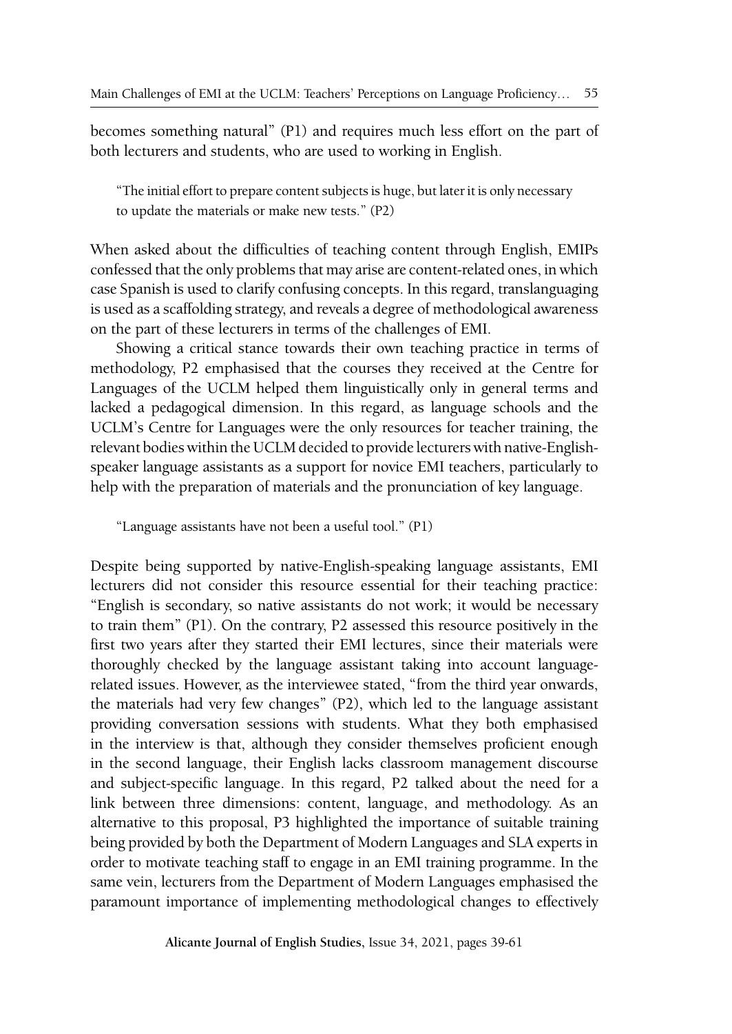becomes something natural" (P1) and requires much less effort on the part of both lecturers and students, who are used to working in English.

"The initial effort to prepare content subjects is huge, but later it is only necessary to update the materials or make new tests." (P2)

When asked about the difficulties of teaching content through English, EMIPs confessed that the only problems that may arise are content-related ones, in which case Spanish is used to clarify confusing concepts. In this regard, translanguaging is used as a scaffolding strategy, and reveals a degree of methodological awareness on the part of these lecturers in terms of the challenges of EMI.

Showing a critical stance towards their own teaching practice in terms of methodology, P2 emphasised that the courses they received at the Centre for Languages of the UCLM helped them linguistically only in general terms and lacked a pedagogical dimension. In this regard, as language schools and the UCLM's Centre for Languages were the only resources for teacher training, the relevant bodies within the UCLM decided to provide lecturers with native-Englishspeaker language assistants as a support for novice EMI teachers, particularly to help with the preparation of materials and the pronunciation of key language.

"Language assistants have not been a useful tool." (P1)

Despite being supported by native-English-speaking language assistants, EMI lecturers did not consider this resource essential for their teaching practice: "English is secondary, so native assistants do not work; it would be necessary to train them" (P1). On the contrary, P2 assessed this resource positively in the first two years after they started their EMI lectures, since their materials were thoroughly checked by the language assistant taking into account languagerelated issues. However, as the interviewee stated, "from the third year onwards, the materials had very few changes" (P2), which led to the language assistant providing conversation sessions with students. What they both emphasised in the interview is that, although they consider themselves proficient enough in the second language, their English lacks classroom management discourse and subject-specific language. In this regard, P2 talked about the need for a link between three dimensions: content, language, and methodology. As an alternative to this proposal, P3 highlighted the importance of suitable training being provided by both the Department of Modern Languages and SLA experts in order to motivate teaching staff to engage in an EMI training programme. In the same vein, lecturers from the Department of Modern Languages emphasised the paramount importance of implementing methodological changes to effectively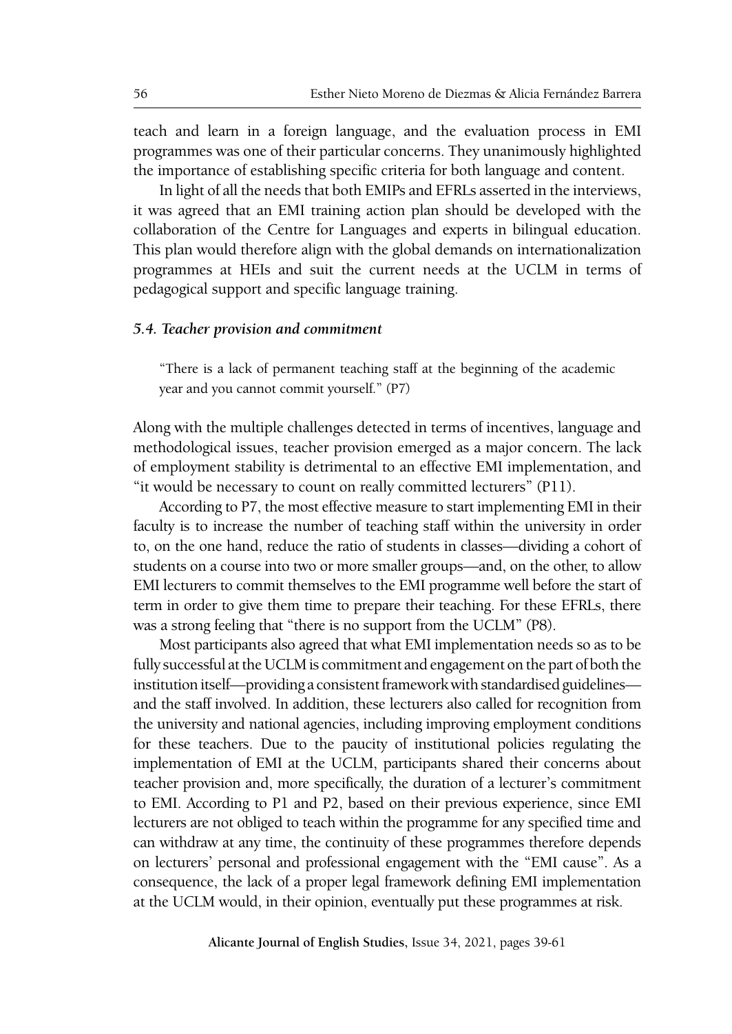teach and learn in a foreign language, and the evaluation process in EMI programmes was one of their particular concerns. They unanimously highlighted the importance of establishing specific criteria for both language and content.

In light of all the needs that both EMIPs and EFRLs asserted in the interviews, it was agreed that an EMI training action plan should be developed with the collaboration of the Centre for Languages and experts in bilingual education. This plan would therefore align with the global demands on internationalization programmes at HEIs and suit the current needs at the UCLM in terms of pedagogical support and specific language training.

# *5.4. Teacher provision and commitment*

"There is a lack of permanent teaching staff at the beginning of the academic year and you cannot commit yourself." (P7)

Along with the multiple challenges detected in terms of incentives, language and methodological issues, teacher provision emerged as a major concern. The lack of employment stability is detrimental to an effective EMI implementation, and "it would be necessary to count on really committed lecturers" (P11).

According to P7, the most effective measure to start implementing EMI in their faculty is to increase the number of teaching staff within the university in order to, on the one hand, reduce the ratio of students in classes—dividing a cohort of students on a course into two or more smaller groups—and, on the other, to allow EMI lecturers to commit themselves to the EMI programme well before the start of term in order to give them time to prepare their teaching. For these EFRLs, there was a strong feeling that "there is no support from the UCLM" (P8).

Most participants also agreed that what EMI implementation needs so as to be fully successful at the UCLM is commitment and engagement on the part of both the institution itself—providing a consistent framework with standardised guidelines and the staff involved. In addition, these lecturers also called for recognition from the university and national agencies, including improving employment conditions for these teachers. Due to the paucity of institutional policies regulating the implementation of EMI at the UCLM, participants shared their concerns about teacher provision and, more specifically, the duration of a lecturer's commitment to EMI. According to P1 and P2, based on their previous experience, since EMI lecturers are not obliged to teach within the programme for any specified time and can withdraw at any time, the continuity of these programmes therefore depends on lecturers' personal and professional engagement with the "EMI cause". As a consequence, the lack of a proper legal framework defining EMI implementation at the UCLM would, in their opinion, eventually put these programmes at risk.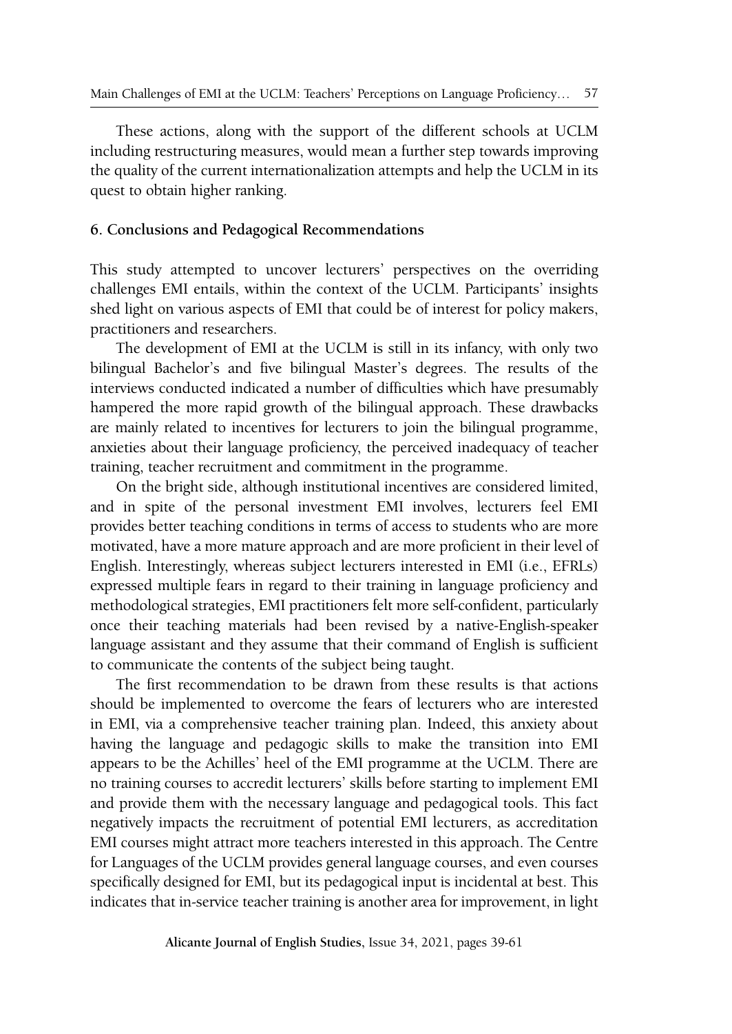These actions, along with the support of the different schools at UCLM including restructuring measures, would mean a further step towards improving the quality of the current internationalization attempts and help the UCLM in its quest to obtain higher ranking.

# **6. Conclusions and Pedagogical Recommendations**

This study attempted to uncover lecturers' perspectives on the overriding challenges EMI entails, within the context of the UCLM. Participants' insights shed light on various aspects of EMI that could be of interest for policy makers, practitioners and researchers.

The development of EMI at the UCLM is still in its infancy, with only two bilingual Bachelor's and five bilingual Master's degrees. The results of the interviews conducted indicated a number of difficulties which have presumably hampered the more rapid growth of the bilingual approach. These drawbacks are mainly related to incentives for lecturers to join the bilingual programme, anxieties about their language proficiency, the perceived inadequacy of teacher training, teacher recruitment and commitment in the programme.

On the bright side, although institutional incentives are considered limited, and in spite of the personal investment EMI involves, lecturers feel EMI provides better teaching conditions in terms of access to students who are more motivated, have a more mature approach and are more proficient in their level of English. Interestingly, whereas subject lecturers interested in EMI (i.e., EFRLs) expressed multiple fears in regard to their training in language proficiency and methodological strategies, EMI practitioners felt more self-confident, particularly once their teaching materials had been revised by a native-English-speaker language assistant and they assume that their command of English is sufficient to communicate the contents of the subject being taught.

The first recommendation to be drawn from these results is that actions should be implemented to overcome the fears of lecturers who are interested in EMI, via a comprehensive teacher training plan. Indeed, this anxiety about having the language and pedagogic skills to make the transition into EMI appears to be the Achilles' heel of the EMI programme at the UCLM. There are no training courses to accredit lecturers' skills before starting to implement EMI and provide them with the necessary language and pedagogical tools. This fact negatively impacts the recruitment of potential EMI lecturers, as accreditation EMI courses might attract more teachers interested in this approach. The Centre for Languages of the UCLM provides general language courses, and even courses specifically designed for EMI, but its pedagogical input is incidental at best. This indicates that in-service teacher training is another area for improvement, in light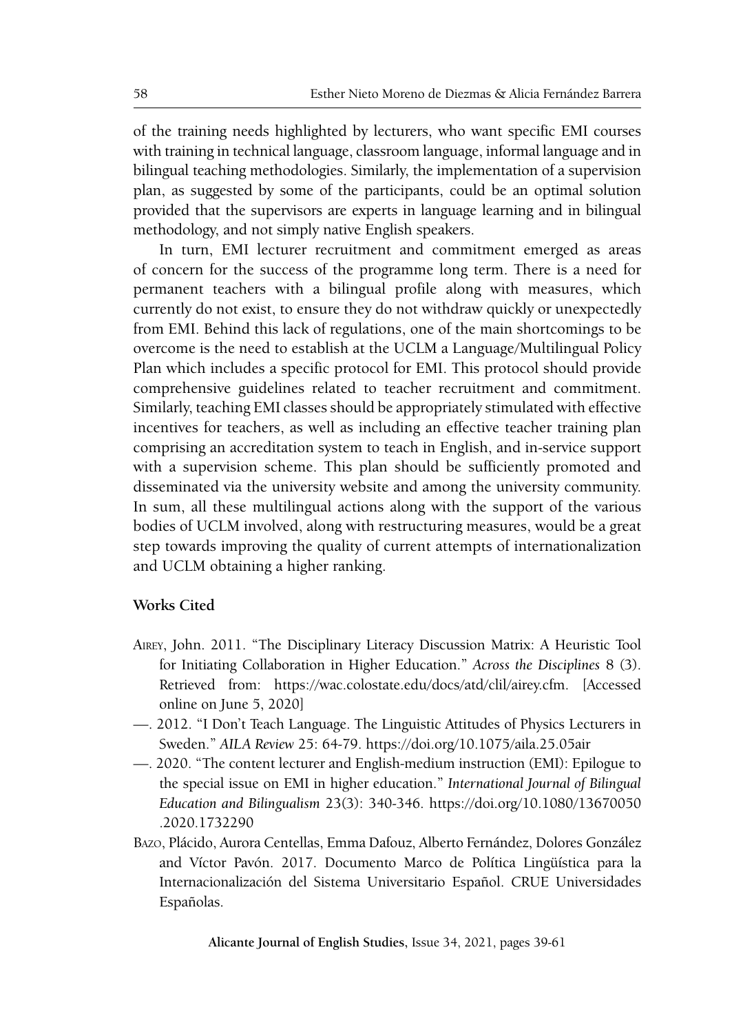of the training needs highlighted by lecturers, who want specific EMI courses with training in technical language, classroom language, informal language and in bilingual teaching methodologies. Similarly, the implementation of a supervision plan, as suggested by some of the participants, could be an optimal solution provided that the supervisors are experts in language learning and in bilingual methodology, and not simply native English speakers.

In turn, EMI lecturer recruitment and commitment emerged as areas of concern for the success of the programme long term. There is a need for permanent teachers with a bilingual profile along with measures, which currently do not exist, to ensure they do not withdraw quickly or unexpectedly from EMI. Behind this lack of regulations, one of the main shortcomings to be overcome is the need to establish at the UCLM a Language/Multilingual Policy Plan which includes a specific protocol for EMI. This protocol should provide comprehensive guidelines related to teacher recruitment and commitment. Similarly, teaching EMI classes should be appropriately stimulated with effective incentives for teachers, as well as including an effective teacher training plan comprising an accreditation system to teach in English, and in-service support with a supervision scheme. This plan should be sufficiently promoted and disseminated via the university website and among the university community. In sum, all these multilingual actions along with the support of the various bodies of UCLM involved, along with restructuring measures, would be a great step towards improving the quality of current attempts of internationalization and UCLM obtaining a higher ranking.

# **Works Cited**

- Airey, John. 2011. "The Disciplinary Literacy Discussion Matrix: A Heuristic Tool for Initiating Collaboration in Higher Education." *Across the Disciplines* 8 (3). Retrieved from: <https://wac.colostate.edu/docs/atd/clil/airey.cfm>. [Accessed online on June 5, 2020]
- —. 2012. "I Don't Teach Language. The Linguistic Attitudes of Physics Lecturers in Sweden." *AILA Review* 25: 64-79. <https://doi.org/10.1075/aila.25.05air>
- —. 2020. "The content lecturer and English-medium instruction (EMI): Epilogue to the special issue on EMI in higher education." *International Journal of Bilingual Education and Bilingualism* 23(3): 340-346. [https://doi.org/10.1080/13670050](https://doi.org/10.1080/13670050.2020.1732290) [.2020.1732290](https://doi.org/10.1080/13670050.2020.1732290)
- Bazo, Plácido, Aurora Centellas, Emma Dafouz, Alberto Fernández, Dolores González and Víctor Pavón. 2017. Documento Marco de Política Lingüística para la Internacionalización del Sistema Universitario Español. CRUE Universidades Españolas.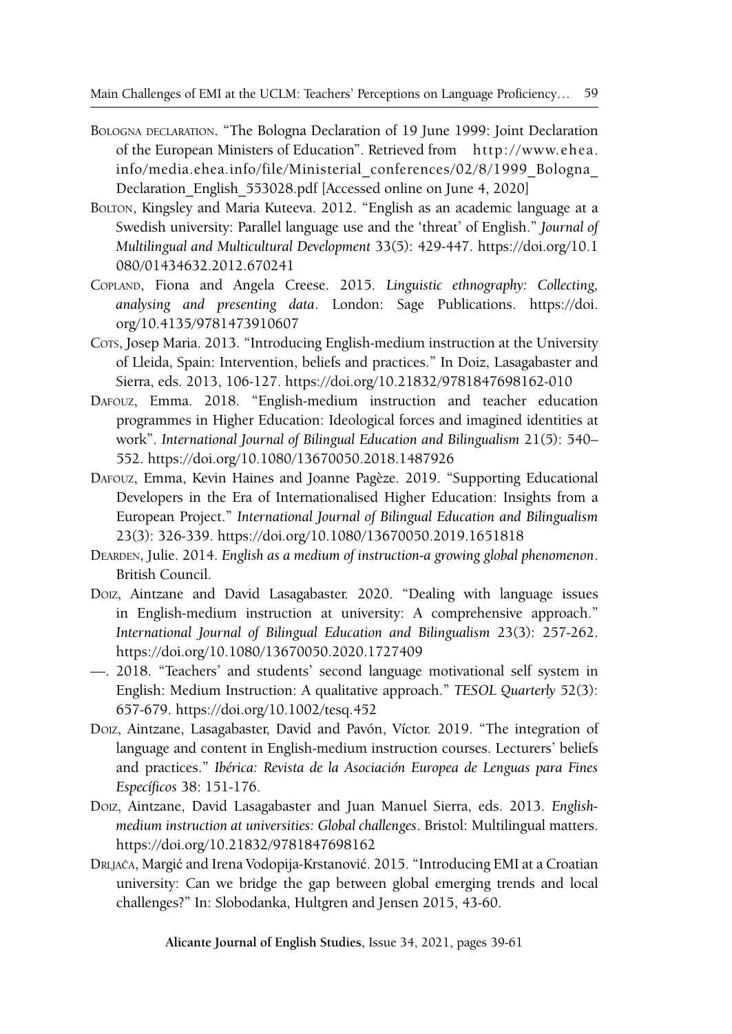- Bologna declaration. "The Bologna Declaration of 19 June 1999: Joint Declaration of the European Ministers of Education". Retrieved from [http://www.ehea.](http://www.ehea.info/media.ehea.info/file/Ministerial_conferences/02/8/1999_Bologna_Declaration_English_553028.pdf) [info/media.ehea.info/file/Ministerial\\_conferences/02/8/1999\\_Bologna\\_](http://www.ehea.info/media.ehea.info/file/Ministerial_conferences/02/8/1999_Bologna_Declaration_English_553028.pdf) Declaration English 553028.pdf [Accessed online on June 4, 2020]
- Bolton, Kingsley and Maria Kuteeva. 2012. "English as an academic language at a Swedish university: Parallel language use and the 'threat' of English." *Journal of Multilingual and Multicultural Development* 33(5): 429-447. [https://doi.org/10.1](https://doi.org/10.1080/01434632.2012.670241) [080/01434632.2012.670241](https://doi.org/10.1080/01434632.2012.670241)
- Copland, Fiona and Angela Creese. 2015. *Linguistic ethnography: Collecting, analysing and presenting data*. London: Sage Publications. [https://doi.](https://doi.org/10.4135/9781473910607) [org/10.4135/9781473910607](https://doi.org/10.4135/9781473910607)
- Cors, Josep Maria. 2013. "Introducing English-medium instruction at the University of Lleida, Spain: Intervention, beliefs and practices." In Doiz, Lasagabaster and Sierra, eds. 2013, 106-127. <https://doi.org/10.21832/9781847698162-010>
- Dafouz, Emma. 2018. "English-medium instruction and teacher education programmes in Higher Education: Ideological forces and imagined identities at work". *International Journal of Bilingual Education and Bilingualism* 21(5): 540– 552.<https://doi.org/10.1080/13670050.2018.1487926>
- Dafouz, Emma, Kevin Haines and Joanne Pagèze. 2019. "Supporting Educational Developers in the Era of Internationalised Higher Education: Insights from a European Project." *International Journal of Bilingual Education and Bilingualism* 23(3): 326-339.<https://doi.org/10.1080/13670050.2019.1651818>
- Dearden, Julie. 2014. *English as a medium of instruction-a growing global phenomenon*. British Council.
- Doiz, Aintzane and David Lasagabaster. 2020. "Dealing with language issues in English-medium instruction at university: A comprehensive approach." *International Journal of Bilingual Education and Bilingualism* 23(3): 257-262. <https://doi.org/10.1080/13670050.2020.1727409>
- —. 2018. "Teachers' and students' second language motivational self system in English: Medium Instruction: A qualitative approach." *TESOL Quarterly* 52(3): 657-679. <https://doi.org/10.1002/tesq.452>
- Doiz, Aintzane, Lasagabaster, David and Pavón, Víctor. 2019. "The integration of language and content in English-medium instruction courses. Lecturers' beliefs and practices." *Ibérica: Revista de la Asociación Europea de Lenguas para Fines Específicos* 38: 151-176.
- Doiz, Aintzane, David Lasagabaster and Juan Manuel Sierra, eds. 2013. *Englishmedium instruction at universities: Global challenges*. Bristol: Multilingual matters. <https://doi.org/10.21832/9781847698162>
- Drljača, Margić and Irena Vodopija-Krstanović. 2015. "Introducing EMI at a Croatian university: Can we bridge the gap between global emerging trends and local challenges?" In: Slobodanka, Hultgren and Jensen 2015, 43-60.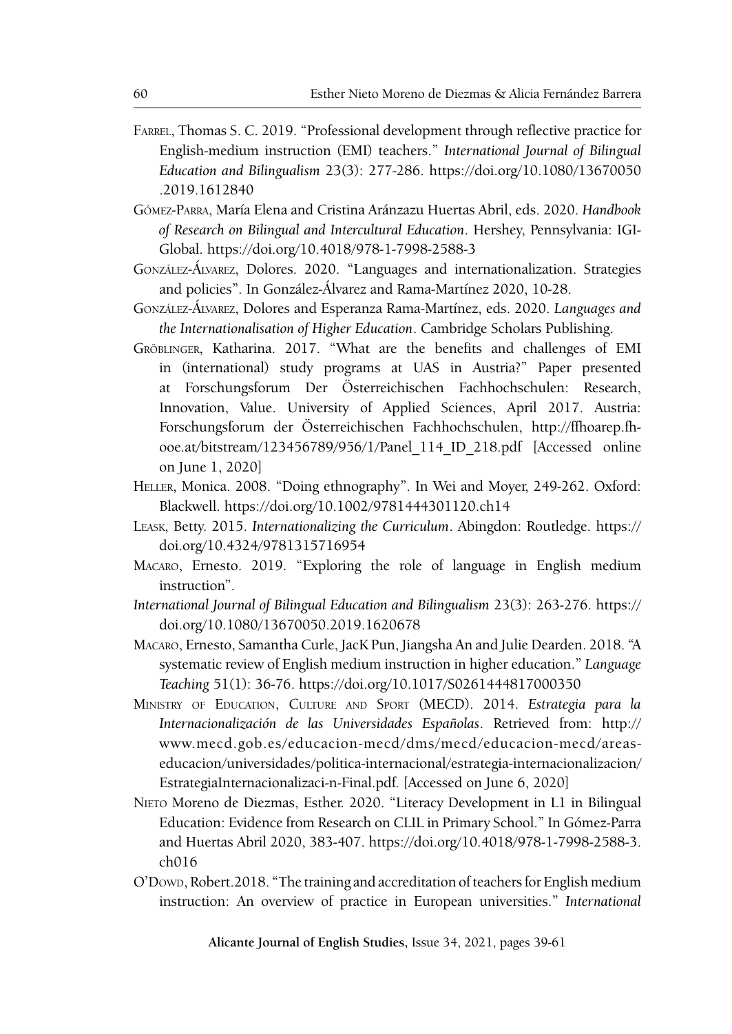- Farrel, Thomas S. C. 2019. "Professional development through reflective practice for English-medium instruction (EMI) teachers." *International Journal of Bilingual Education and Bilingualism* 23(3): 277-286. [https://doi.org/10.1080/13670050](https://doi.org/10.1080/13670050.2019.1612840) [.2019.1612840](https://doi.org/10.1080/13670050.2019.1612840)
- Gómez-Parra, María Elena and Cristina Aránzazu Huertas Abril, eds. 2020. *Handbook of Research on Bilingual and Intercultural Education*. Hershey, Pennsylvania: IGI-Global.<https://doi.org/10.4018/978-1-7998-2588-3>
- González-Álvarez, Dolores. 2020. "Languages and internationalization. Strategies and policies". In González-Álvarez and Rama-Martínez 2020, 10-28.
- González-Álvarez, Dolores and Esperanza Rama-Martínez, eds. 2020. *Languages and the Internationalisation of Higher Education*. Cambridge Scholars Publishing.
- Gröblinger, Katharina. 2017. "What are the benefits and challenges of EMI in (international) study programs at UAS in Austria?" Paper presented at Forschungsforum Der Österreichischen Fachhochschulen: Research, Innovation, Value. University of Applied Sciences, April 2017. Austria: Forschungsforum der Österreichischen Fachhochschulen, [http://ffhoarep.fh](http://ffhoarep.fh-ooe.at/bitstream/123456789/956/1/Panel_114_ID_218.pdf)[ooe.at/bitstream/123456789/956/1/Panel\\_114\\_ID\\_218.pdf](http://ffhoarep.fh-ooe.at/bitstream/123456789/956/1/Panel_114_ID_218.pdf) [Accessed online on June 1, 2020]
- Heller, Monica. 2008. "Doing ethnography". In Wei and Moyer, 249-262. Oxford: Blackwell. <https://doi.org/10.1002/9781444301120.ch14>
- Leask, Betty. 2015. *Internationalizing the Curriculum*. Abingdon: Routledge. [https://](https://doi.org/10.4324/9781315716954) [doi.org/10.4324/9781315716954](https://doi.org/10.4324/9781315716954)
- Macaro, Ernesto. 2019. "Exploring the role of language in English medium instruction".
- *International Journal of Bilingual Education and Bilingualism* 23(3): 263-276. [https://](https://doi.org/10.1080/13670050.2019.1620678) [doi.org/10.1080/13670050.2019.1620678](https://doi.org/10.1080/13670050.2019.1620678)
- Macaro, Ernesto, Samantha Curle, JacK Pun, Jiangsha An and Julie Dearden. 2018. "A systematic review of English medium instruction in higher education." *Language Teaching* 51(1): 36-76. <https://doi.org/10.1017/S0261444817000350>
- Ministry of Education, Culture and Sport (MECD). 2014. *Estrategia para la Internacionalización de las Universidades Españolas*. Retrieved from: http:// www.mecd.gob.es/educacion-mecd/dms/mecd/educacion-mecd/areaseducacion/universidades/politica-internacional/estrategia-internacionalizacion/ EstrategiaInternacionalizaci-n-Final.pdf. [Accessed on June 6, 2020]
- Nieto Moreno de Diezmas, Esther. 2020. "Literacy Development in L1 in Bilingual Education: Evidence from Research on CLIL in Primary School." In Gómez-Parra and Huertas Abril 2020, 383-407. [https://doi.org/10.4018/978-1-7998-2588-3.](https://doi.org/10.4018/978-1-7998-2588-3.ch016) [ch016](https://doi.org/10.4018/978-1-7998-2588-3.ch016)
- O'Dowd, Robert.2018. "The training and accreditation of teachers for English medium instruction: An overview of practice in European universities." *International*